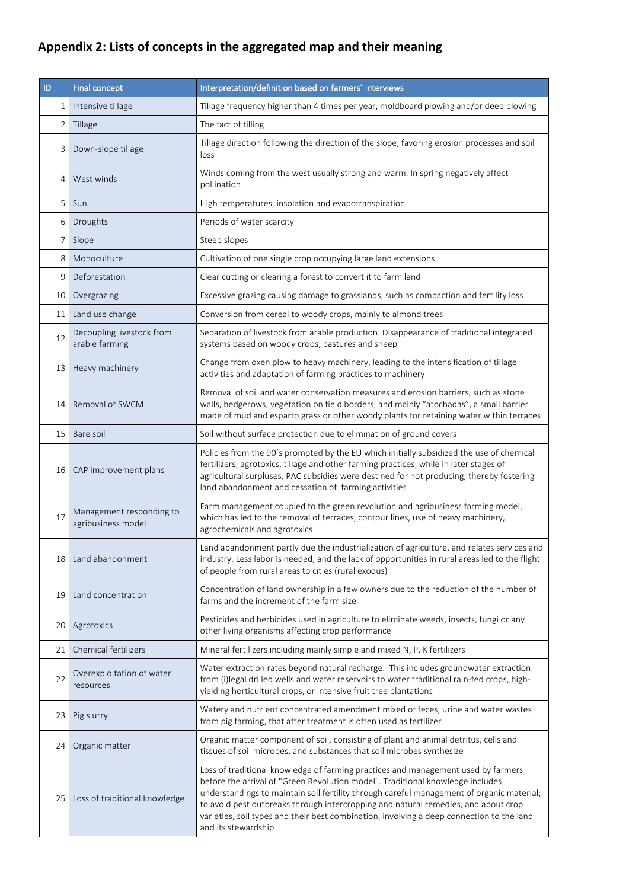## **Appendix 2: Lists of concepts in the aggregated map and their meaning**

| ID             | <b>Final concept</b>                           | Interpretation/definition based on farmers' interviews                                                                                                                                                                                                                                                                                                                                                                                                                     |
|----------------|------------------------------------------------|----------------------------------------------------------------------------------------------------------------------------------------------------------------------------------------------------------------------------------------------------------------------------------------------------------------------------------------------------------------------------------------------------------------------------------------------------------------------------|
| 1              | Intensive tillage                              | Tillage frequency higher than 4 times per year, moldboard plowing and/or deep plowing                                                                                                                                                                                                                                                                                                                                                                                      |
| 2              | Tillage                                        | The fact of tilling                                                                                                                                                                                                                                                                                                                                                                                                                                                        |
| 3              | Down-slope tillage                             | Tillage direction following the direction of the slope, favoring erosion processes and soil<br>loss                                                                                                                                                                                                                                                                                                                                                                        |
| 4              | West winds                                     | Winds coming from the west usually strong and warm. In spring negatively affect<br>pollination                                                                                                                                                                                                                                                                                                                                                                             |
| 5              | Sun                                            | High temperatures, insolation and evapotranspiration                                                                                                                                                                                                                                                                                                                                                                                                                       |
| 6              | Droughts                                       | Periods of water scarcity                                                                                                                                                                                                                                                                                                                                                                                                                                                  |
| $\overline{7}$ | Slope                                          | Steep slopes                                                                                                                                                                                                                                                                                                                                                                                                                                                               |
| 8              | Monoculture                                    | Cultivation of one single crop occupying large land extensions                                                                                                                                                                                                                                                                                                                                                                                                             |
| 9              | Deforestation                                  | Clear cutting or clearing a forest to convert it to farm land                                                                                                                                                                                                                                                                                                                                                                                                              |
| 10             | Overgrazing                                    | Excessive grazing causing damage to grasslands, such as compaction and fertility loss                                                                                                                                                                                                                                                                                                                                                                                      |
| 11             | Land use change                                | Conversion from cereal to woody crops, mainly to almond trees                                                                                                                                                                                                                                                                                                                                                                                                              |
| 12             | Decoupling livestock from<br>arable farming    | Separation of livestock from arable production. Disappearance of traditional integrated<br>systems based on woody crops, pastures and sheep                                                                                                                                                                                                                                                                                                                                |
| 13             | Heavy machinery                                | Change from oxen plow to heavy machinery, leading to the intensification of tillage<br>activities and adaptation of farming practices to machinery                                                                                                                                                                                                                                                                                                                         |
| 14             | Removal of SWCM                                | Removal of soil and water conservation measures and erosion barriers, such as stone<br>walls, hedgerows, vegetation on field borders, and mainly "atochadas", a small barrier<br>made of mud and esparto grass or other woody plants for retaining water within terraces                                                                                                                                                                                                   |
| 15             | Bare soil                                      | Soil without surface protection due to elimination of ground covers                                                                                                                                                                                                                                                                                                                                                                                                        |
| 16             | CAP improvement plans                          | Policies from the 90's prompted by the EU which initially subsidized the use of chemical<br>fertilizers, agrotoxics, tillage and other farming practices, while in later stages of<br>agricultural surpluses, PAC subsidies were destined for not producing, thereby fostering<br>land abandonment and cessation of farming activities                                                                                                                                     |
| 17             | Management responding to<br>agribusiness model | Farm management coupled to the green revolution and agribusiness farming model,<br>which has led to the removal of terraces, contour lines, use of heavy machinery,<br>agrochemicals and agrotoxics                                                                                                                                                                                                                                                                        |
| 18             | Land abandonment                               | Land abandonment partly due the industrialization of agriculture, and relates services and<br>industry. Less labor is needed, and the lack of opportunities in rural areas led to the flight<br>of people from rural areas to cities (rural exodus)                                                                                                                                                                                                                        |
| 19             | Land concentration                             | Concentration of land ownership in a few owners due to the reduction of the number of<br>farms and the increment of the farm size                                                                                                                                                                                                                                                                                                                                          |
| 20             | Agrotoxics                                     | Pesticides and herbicides used in agriculture to eliminate weeds, insects, fungi or any<br>other living organisms affecting crop performance                                                                                                                                                                                                                                                                                                                               |
| 21             | <b>Chemical fertilizers</b>                    | Mineral fertilizers including mainly simple and mixed N, P, K fertilizers                                                                                                                                                                                                                                                                                                                                                                                                  |
| 22             | Overexploitation of water<br>resources         | Water extraction rates beyond natural recharge. This includes groundwater extraction<br>from (i)legal drilled wells and water reservoirs to water traditional rain-fed crops, high-<br>yielding horticultural crops, or intensive fruit tree plantations                                                                                                                                                                                                                   |
| 23             | Pig slurry                                     | Watery and nutrient concentrated amendment mixed of feces, urine and water wastes<br>from pig farming, that after treatment is often used as fertilizer                                                                                                                                                                                                                                                                                                                    |
| 24             | Organic matter                                 | Organic matter component of soil, consisting of plant and animal detritus, cells and<br>tissues of soil microbes, and substances that soil microbes synthesize                                                                                                                                                                                                                                                                                                             |
| 25             | Loss of traditional knowledge                  | Loss of traditional knowledge of farming practices and management used by farmers<br>before the arrival of "Green Revolution model". Traditional knowledge includes<br>understandings to maintain soil fertility through careful management of organic material;<br>to avoid pest outbreaks through intercropping and natural remedies, and about crop<br>varieties, soil types and their best combination, involving a deep connection to the land<br>and its stewardship |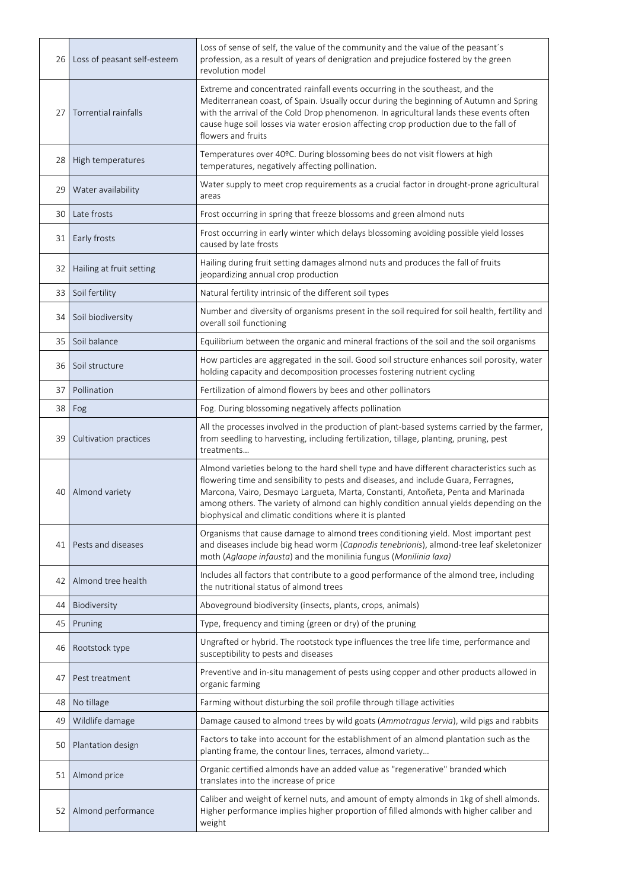| 26 | Loss of peasant self-esteem | Loss of sense of self, the value of the community and the value of the peasant's<br>profession, as a result of years of denigration and prejudice fostered by the green<br>revolution model                                                                                                                                                                                                                                |
|----|-----------------------------|----------------------------------------------------------------------------------------------------------------------------------------------------------------------------------------------------------------------------------------------------------------------------------------------------------------------------------------------------------------------------------------------------------------------------|
| 27 | Torrential rainfalls        | Extreme and concentrated rainfall events occurring in the southeast, and the<br>Mediterranean coast, of Spain. Usually occur during the beginning of Autumn and Spring<br>with the arrival of the Cold Drop phenomenon. In agricultural lands these events often<br>cause huge soil losses via water erosion affecting crop production due to the fall of<br>flowers and fruits                                            |
| 28 | High temperatures           | Temperatures over 40ºC. During blossoming bees do not visit flowers at high<br>temperatures, negatively affecting pollination.                                                                                                                                                                                                                                                                                             |
| 29 | Water availability          | Water supply to meet crop requirements as a crucial factor in drought-prone agricultural<br>areas                                                                                                                                                                                                                                                                                                                          |
| 30 | Late frosts                 | Frost occurring in spring that freeze blossoms and green almond nuts                                                                                                                                                                                                                                                                                                                                                       |
| 31 | Early frosts                | Frost occurring in early winter which delays blossoming avoiding possible yield losses<br>caused by late frosts                                                                                                                                                                                                                                                                                                            |
| 32 | Hailing at fruit setting    | Hailing during fruit setting damages almond nuts and produces the fall of fruits<br>jeopardizing annual crop production                                                                                                                                                                                                                                                                                                    |
| 33 | Soil fertility              | Natural fertility intrinsic of the different soil types                                                                                                                                                                                                                                                                                                                                                                    |
| 34 | Soil biodiversity           | Number and diversity of organisms present in the soil required for soil health, fertility and<br>overall soil functioning                                                                                                                                                                                                                                                                                                  |
| 35 | Soil balance                | Equilibrium between the organic and mineral fractions of the soil and the soil organisms                                                                                                                                                                                                                                                                                                                                   |
| 36 | Soil structure              | How particles are aggregated in the soil. Good soil structure enhances soil porosity, water<br>holding capacity and decomposition processes fostering nutrient cycling                                                                                                                                                                                                                                                     |
| 37 | Pollination                 | Fertilization of almond flowers by bees and other pollinators                                                                                                                                                                                                                                                                                                                                                              |
| 38 | Fog                         | Fog. During blossoming negatively affects pollination                                                                                                                                                                                                                                                                                                                                                                      |
| 39 | Cultivation practices       | All the processes involved in the production of plant-based systems carried by the farmer,<br>from seedling to harvesting, including fertilization, tillage, planting, pruning, pest<br>treatments                                                                                                                                                                                                                         |
| 40 | Almond variety              | Almond varieties belong to the hard shell type and have different characteristics such as<br>flowering time and sensibility to pests and diseases, and include Guara, Ferragnes,<br>Marcona, Vairo, Desmayo Largueta, Marta, Constanti, Antoñeta, Penta and Marinada<br>among others. The variety of almond can highly condition annual yields depending on the<br>biophysical and climatic conditions where it is planted |
| 41 | Pests and diseases          | Organisms that cause damage to almond trees conditioning yield. Most important pest<br>and diseases include big head worm (Capnodis tenebrionis), almond-tree leaf skeletonizer<br>moth (Aglaope infausta) and the monilinia fungus (Monilinia laxa)                                                                                                                                                                       |
| 42 | Almond tree health          | Includes all factors that contribute to a good performance of the almond tree, including<br>the nutritional status of almond trees                                                                                                                                                                                                                                                                                         |
| 44 | Biodiversity                | Aboveground biodiversity (insects, plants, crops, animals)                                                                                                                                                                                                                                                                                                                                                                 |
| 45 | Pruning                     | Type, frequency and timing (green or dry) of the pruning                                                                                                                                                                                                                                                                                                                                                                   |
| 46 | Rootstock type              | Ungrafted or hybrid. The rootstock type influences the tree life time, performance and<br>susceptibility to pests and diseases                                                                                                                                                                                                                                                                                             |
| 47 | Pest treatment              | Preventive and in-situ management of pests using copper and other products allowed in<br>organic farming                                                                                                                                                                                                                                                                                                                   |
| 48 | No tillage                  | Farming without disturbing the soil profile through tillage activities                                                                                                                                                                                                                                                                                                                                                     |
| 49 | Wildlife damage             | Damage caused to almond trees by wild goats (Ammotragus lervia), wild pigs and rabbits                                                                                                                                                                                                                                                                                                                                     |
| 50 | Plantation design           | Factors to take into account for the establishment of an almond plantation such as the<br>planting frame, the contour lines, terraces, almond variety                                                                                                                                                                                                                                                                      |
| 51 | Almond price                | Organic certified almonds have an added value as "regenerative" branded which<br>translates into the increase of price                                                                                                                                                                                                                                                                                                     |
| 52 | Almond performance          | Caliber and weight of kernel nuts, and amount of empty almonds in 1kg of shell almonds.<br>Higher performance implies higher proportion of filled almonds with higher caliber and<br>weight                                                                                                                                                                                                                                |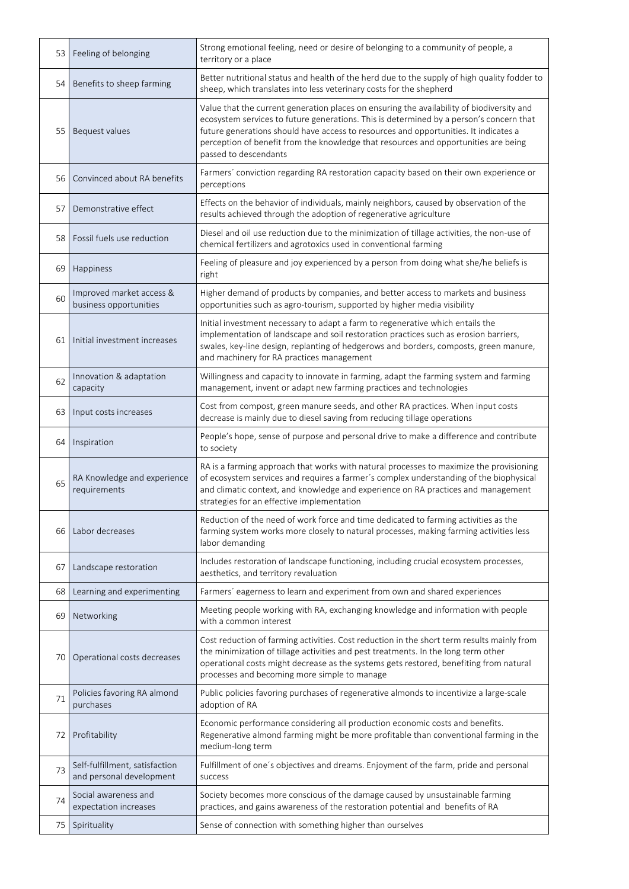| 53 | Feeling of belonging                                       | Strong emotional feeling, need or desire of belonging to a community of people, a<br>territory or a place                                                                                                                                                                                                                                                                                    |
|----|------------------------------------------------------------|----------------------------------------------------------------------------------------------------------------------------------------------------------------------------------------------------------------------------------------------------------------------------------------------------------------------------------------------------------------------------------------------|
| 54 | Benefits to sheep farming                                  | Better nutritional status and health of the herd due to the supply of high quality fodder to<br>sheep, which translates into less veterinary costs for the shepherd                                                                                                                                                                                                                          |
| 55 | Bequest values                                             | Value that the current generation places on ensuring the availability of biodiversity and<br>ecosystem services to future generations. This is determined by a person's concern that<br>future generations should have access to resources and opportunities. It indicates a<br>perception of benefit from the knowledge that resources and opportunities are being<br>passed to descendants |
| 56 | Convinced about RA benefits                                | Farmers' conviction regarding RA restoration capacity based on their own experience or<br>perceptions                                                                                                                                                                                                                                                                                        |
| 57 | Demonstrative effect                                       | Effects on the behavior of individuals, mainly neighbors, caused by observation of the<br>results achieved through the adoption of regenerative agriculture                                                                                                                                                                                                                                  |
| 58 | Fossil fuels use reduction                                 | Diesel and oil use reduction due to the minimization of tillage activities, the non-use of<br>chemical fertilizers and agrotoxics used in conventional farming                                                                                                                                                                                                                               |
| 69 | Happiness                                                  | Feeling of pleasure and joy experienced by a person from doing what she/he beliefs is<br>right                                                                                                                                                                                                                                                                                               |
| 60 | Improved market access &<br>business opportunities         | Higher demand of products by companies, and better access to markets and business<br>opportunities such as agro-tourism, supported by higher media visibility                                                                                                                                                                                                                                |
| 61 | Initial investment increases                               | Initial investment necessary to adapt a farm to regenerative which entails the<br>implementation of landscape and soil restoration practices such as erosion barriers,<br>swales, key-line design, replanting of hedgerows and borders, composts, green manure,<br>and machinery for RA practices management                                                                                 |
| 62 | Innovation & adaptation<br>capacity                        | Willingness and capacity to innovate in farming, adapt the farming system and farming<br>management, invent or adapt new farming practices and technologies                                                                                                                                                                                                                                  |
| 63 | Input costs increases                                      | Cost from compost, green manure seeds, and other RA practices. When input costs<br>decrease is mainly due to diesel saving from reducing tillage operations                                                                                                                                                                                                                                  |
| 64 | Inspiration                                                | People's hope, sense of purpose and personal drive to make a difference and contribute<br>to society                                                                                                                                                                                                                                                                                         |
| 65 | RA Knowledge and experience<br>requirements                | RA is a farming approach that works with natural processes to maximize the provisioning<br>of ecosystem services and requires a farmer's complex understanding of the biophysical<br>and climatic context, and knowledge and experience on RA practices and management<br>strategies for an effective implementation                                                                         |
| 66 | Labor decreases                                            | Reduction of the need of work force and time dedicated to farming activities as the<br>farming system works more closely to natural processes, making farming activities less<br>labor demanding                                                                                                                                                                                             |
| 67 | Landscape restoration                                      | Includes restoration of landscape functioning, including crucial ecosystem processes,<br>aesthetics, and territory revaluation                                                                                                                                                                                                                                                               |
| 68 | Learning and experimenting                                 | Farmers' eagerness to learn and experiment from own and shared experiences                                                                                                                                                                                                                                                                                                                   |
| 69 | Networking                                                 | Meeting people working with RA, exchanging knowledge and information with people<br>with a common interest                                                                                                                                                                                                                                                                                   |
| 70 | Operational costs decreases                                | Cost reduction of farming activities. Cost reduction in the short term results mainly from<br>the minimization of tillage activities and pest treatments. In the long term other<br>operational costs might decrease as the systems gets restored, benefiting from natural<br>processes and becoming more simple to manage                                                                   |
| 71 | Policies favoring RA almond<br>purchases                   | Public policies favoring purchases of regenerative almonds to incentivize a large-scale<br>adoption of RA                                                                                                                                                                                                                                                                                    |
| 72 | Profitability                                              | Economic performance considering all production economic costs and benefits.<br>Regenerative almond farming might be more profitable than conventional farming in the<br>medium-long term                                                                                                                                                                                                    |
| 73 | Self-fulfillment, satisfaction<br>and personal development | Fulfillment of one's objectives and dreams. Enjoyment of the farm, pride and personal<br>success                                                                                                                                                                                                                                                                                             |
| 74 | Social awareness and<br>expectation increases              | Society becomes more conscious of the damage caused by unsustainable farming<br>practices, and gains awareness of the restoration potential and benefits of RA                                                                                                                                                                                                                               |
| 75 | Spirituality                                               | Sense of connection with something higher than ourselves                                                                                                                                                                                                                                                                                                                                     |